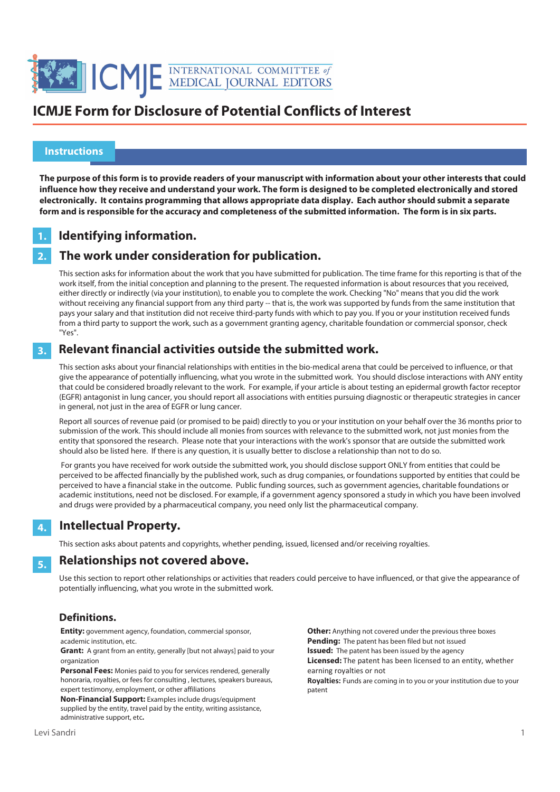

### **Instructions**

 l

> **The purpose of this form is to provide readers of your manuscript with information about your other interests that could influence how they receive and understand your work. The form is designed to be completed electronically and stored electronically. It contains programming that allows appropriate data display. Each author should submit a separate form and is responsible for the accuracy and completeness of the submitted information. The form is in six parts.**

#### **Identifying information. 1.**

#### **The work under consideration for publication. 2.**

This section asks for information about the work that you have submitted for publication. The time frame for this reporting is that of the work itself, from the initial conception and planning to the present. The requested information is about resources that you received, either directly or indirectly (via your institution), to enable you to complete the work. Checking "No" means that you did the work without receiving any financial support from any third party -- that is, the work was supported by funds from the same institution that pays your salary and that institution did not receive third-party funds with which to pay you. If you or your institution received funds from a third party to support the work, such as a government granting agency, charitable foundation or commercial sponsor, check "Yes".

#### **Relevant financial activities outside the submitted work. 3.**

This section asks about your financial relationships with entities in the bio-medical arena that could be perceived to influence, or that give the appearance of potentially influencing, what you wrote in the submitted work. You should disclose interactions with ANY entity that could be considered broadly relevant to the work. For example, if your article is about testing an epidermal growth factor receptor (EGFR) antagonist in lung cancer, you should report all associations with entities pursuing diagnostic or therapeutic strategies in cancer in general, not just in the area of EGFR or lung cancer.

Report all sources of revenue paid (or promised to be paid) directly to you or your institution on your behalf over the 36 months prior to submission of the work. This should include all monies from sources with relevance to the submitted work, not just monies from the entity that sponsored the research. Please note that your interactions with the work's sponsor that are outside the submitted work should also be listed here. If there is any question, it is usually better to disclose a relationship than not to do so.

 For grants you have received for work outside the submitted work, you should disclose support ONLY from entities that could be perceived to be affected financially by the published work, such as drug companies, or foundations supported by entities that could be perceived to have a financial stake in the outcome. Public funding sources, such as government agencies, charitable foundations or academic institutions, need not be disclosed. For example, if a government agency sponsored a study in which you have been involved and drugs were provided by a pharmaceutical company, you need only list the pharmaceutical company.

#### **Intellectual Property. 4.**

This section asks about patents and copyrights, whether pending, issued, licensed and/or receiving royalties.

#### **Relationships not covered above. 5.**

Use this section to report other relationships or activities that readers could perceive to have influenced, or that give the appearance of potentially influencing, what you wrote in the submitted work.

### **Definitions.**

**Entity:** government agency, foundation, commercial sponsor, academic institution, etc.

**Grant:** A grant from an entity, generally [but not always] paid to your organization

**Personal Fees:** Monies paid to you for services rendered, generally honoraria, royalties, or fees for consulting , lectures, speakers bureaus, expert testimony, employment, or other affiliations

**Non-Financial Support:** Examples include drugs/equipment supplied by the entity, travel paid by the entity, writing assistance, administrative support, etc**.**

**Other:** Anything not covered under the previous three boxes **Pending:** The patent has been filed but not issued **Issued:** The patent has been issued by the agency **Licensed:** The patent has been licensed to an entity, whether earning royalties or not **Royalties:** Funds are coming in to you or your institution due to your patent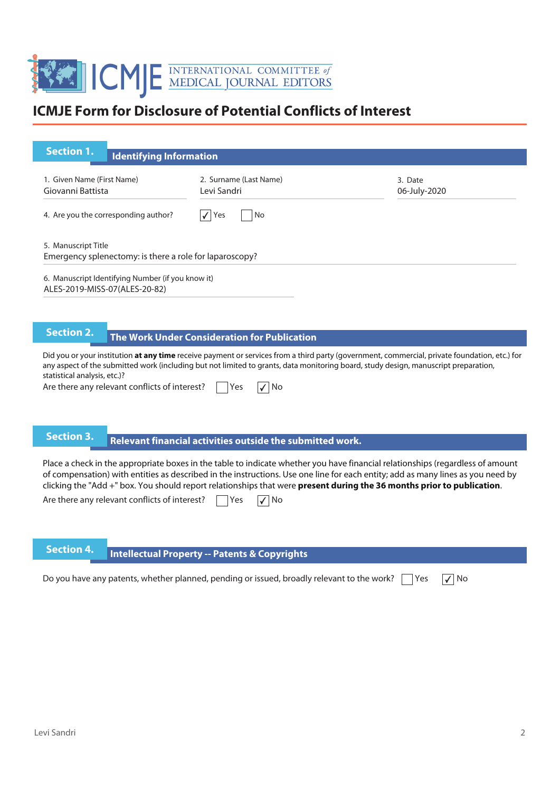

| <b>Section 1.</b>                                                                                                                                                                                                                                                                                                                                                                                                                                                      | <b>Identifying Information</b>                                                 |                                       |    |                         |  |  |
|------------------------------------------------------------------------------------------------------------------------------------------------------------------------------------------------------------------------------------------------------------------------------------------------------------------------------------------------------------------------------------------------------------------------------------------------------------------------|--------------------------------------------------------------------------------|---------------------------------------|----|-------------------------|--|--|
| 1. Given Name (First Name)<br>Giovanni Battista                                                                                                                                                                                                                                                                                                                                                                                                                        |                                                                                | 2. Surname (Last Name)<br>Levi Sandri |    | 3. Date<br>06-July-2020 |  |  |
| 4. Are you the corresponding author?                                                                                                                                                                                                                                                                                                                                                                                                                                   |                                                                                | $\sqrt{Y}$                            | No |                         |  |  |
|                                                                                                                                                                                                                                                                                                                                                                                                                                                                        | 5. Manuscript Title<br>Emergency splenectomy: is there a role for laparoscopy? |                                       |    |                         |  |  |
| 6. Manuscript Identifying Number (if you know it)<br>ALES-2019-MISS-07(ALES-20-82)                                                                                                                                                                                                                                                                                                                                                                                     |                                                                                |                                       |    |                         |  |  |
|                                                                                                                                                                                                                                                                                                                                                                                                                                                                        |                                                                                |                                       |    |                         |  |  |
| <b>Section 2.</b>                                                                                                                                                                                                                                                                                                                                                                                                                                                      | The Work Under Consideration for Publication                                   |                                       |    |                         |  |  |
| Did you or your institution at any time receive payment or services from a third party (government, commercial, private foundation, etc.) for<br>any aspect of the submitted work (including but not limited to grants, data monitoring board, study design, manuscript preparation,<br>statistical analysis, etc.)?<br>Are there any relevant conflicts of interest?<br>$\sqrt{}$<br>No<br>Yes                                                                        |                                                                                |                                       |    |                         |  |  |
|                                                                                                                                                                                                                                                                                                                                                                                                                                                                        |                                                                                |                                       |    |                         |  |  |
| <b>Section 3.</b>                                                                                                                                                                                                                                                                                                                                                                                                                                                      | Relevant financial activities outside the submitted work.                      |                                       |    |                         |  |  |
| Place a check in the appropriate boxes in the table to indicate whether you have financial relationships (regardless of amount<br>of compensation) with entities as described in the instructions. Use one line for each entity; add as many lines as you need by<br>clicking the "Add +" box. You should report relationships that were present during the 36 months prior to publication.<br>Are there any relevant conflicts of interest?<br>No<br>$\sqrt{}$<br>Yes |                                                                                |                                       |    |                         |  |  |
| <b>Section 4.</b>                                                                                                                                                                                                                                                                                                                                                                                                                                                      | <b>Intellectual Property -- Patents &amp; Copyrights</b>                       |                                       |    |                         |  |  |
| Do you have any patents, whether planned, pending or issued, broadly relevant to the work?<br>$\sqrt{N}$<br>Yes                                                                                                                                                                                                                                                                                                                                                        |                                                                                |                                       |    |                         |  |  |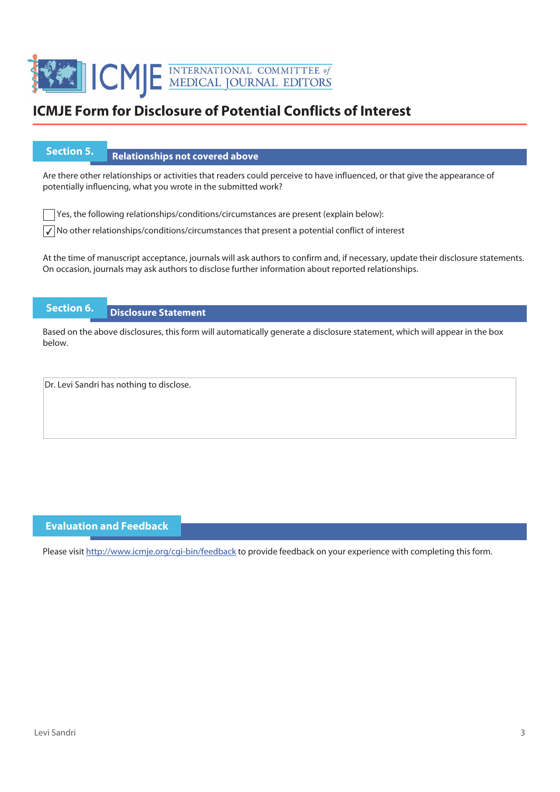

## **Section 5.** Relationships not covered above

Are there other relationships or activities that readers could perceive to have influenced, or that give the appearance of potentially influencing, what you wrote in the submitted work?

 $\Box$  Yes, the following relationships/conditions/circumstances are present (explain below):

 $\sqrt{\phantom{a}}$  No other relationships/conditions/circumstances that present a potential conflict of interest

At the time of manuscript acceptance, journals will ask authors to confirm and, if necessary, update their disclosure statements. On occasion, journals may ask authors to disclose further information about reported relationships.

### **Section 6. Disclosure Statement**

Based on the above disclosures, this form will automatically generate a disclosure statement, which will appear in the box below.

Dr. Levi Sandri has nothing to disclose.

### **Evaluation and Feedback**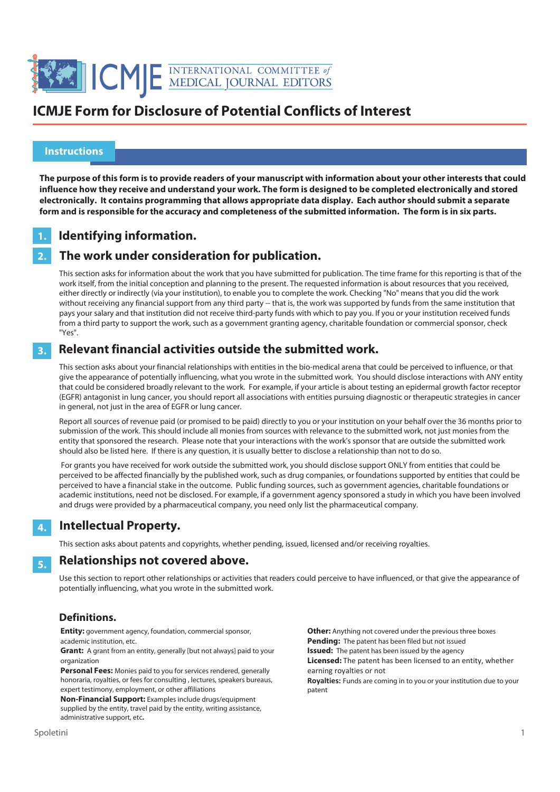

### **Instructions**

 l

> **The purpose of this form is to provide readers of your manuscript with information about your other interests that could influence how they receive and understand your work. The form is designed to be completed electronically and stored electronically. It contains programming that allows appropriate data display. Each author should submit a separate form and is responsible for the accuracy and completeness of the submitted information. The form is in six parts.**

#### **Identifying information. 1.**

#### **The work under consideration for publication. 2.**

This section asks for information about the work that you have submitted for publication. The time frame for this reporting is that of the work itself, from the initial conception and planning to the present. The requested information is about resources that you received, either directly or indirectly (via your institution), to enable you to complete the work. Checking "No" means that you did the work without receiving any financial support from any third party -- that is, the work was supported by funds from the same institution that pays your salary and that institution did not receive third-party funds with which to pay you. If you or your institution received funds from a third party to support the work, such as a government granting agency, charitable foundation or commercial sponsor, check "Yes".

#### **Relevant financial activities outside the submitted work. 3.**

This section asks about your financial relationships with entities in the bio-medical arena that could be perceived to influence, or that give the appearance of potentially influencing, what you wrote in the submitted work. You should disclose interactions with ANY entity that could be considered broadly relevant to the work. For example, if your article is about testing an epidermal growth factor receptor (EGFR) antagonist in lung cancer, you should report all associations with entities pursuing diagnostic or therapeutic strategies in cancer in general, not just in the area of EGFR or lung cancer.

Report all sources of revenue paid (or promised to be paid) directly to you or your institution on your behalf over the 36 months prior to submission of the work. This should include all monies from sources with relevance to the submitted work, not just monies from the entity that sponsored the research. Please note that your interactions with the work's sponsor that are outside the submitted work should also be listed here. If there is any question, it is usually better to disclose a relationship than not to do so.

 For grants you have received for work outside the submitted work, you should disclose support ONLY from entities that could be perceived to be affected financially by the published work, such as drug companies, or foundations supported by entities that could be perceived to have a financial stake in the outcome. Public funding sources, such as government agencies, charitable foundations or academic institutions, need not be disclosed. For example, if a government agency sponsored a study in which you have been involved and drugs were provided by a pharmaceutical company, you need only list the pharmaceutical company.

#### **Intellectual Property. 4.**

This section asks about patents and copyrights, whether pending, issued, licensed and/or receiving royalties.

#### **Relationships not covered above. 5.**

Use this section to report other relationships or activities that readers could perceive to have influenced, or that give the appearance of potentially influencing, what you wrote in the submitted work.

patent

### **Definitions.**

**Entity:** government agency, foundation, commercial sponsor, academic institution, etc.

**Grant:** A grant from an entity, generally [but not always] paid to your organization

**Personal Fees:** Monies paid to you for services rendered, generally honoraria, royalties, or fees for consulting , lectures, speakers bureaus, expert testimony, employment, or other affiliations

**Non-Financial Support:** Examples include drugs/equipment supplied by the entity, travel paid by the entity, writing assistance, administrative support, etc**.**

**Other:** Anything not covered under the previous three boxes **Pending:** The patent has been filed but not issued **Issued:** The patent has been issued by the agency **Licensed:** The patent has been licensed to an entity, whether earning royalties or not **Royalties:** Funds are coming in to you or your institution due to your

Spoletini 1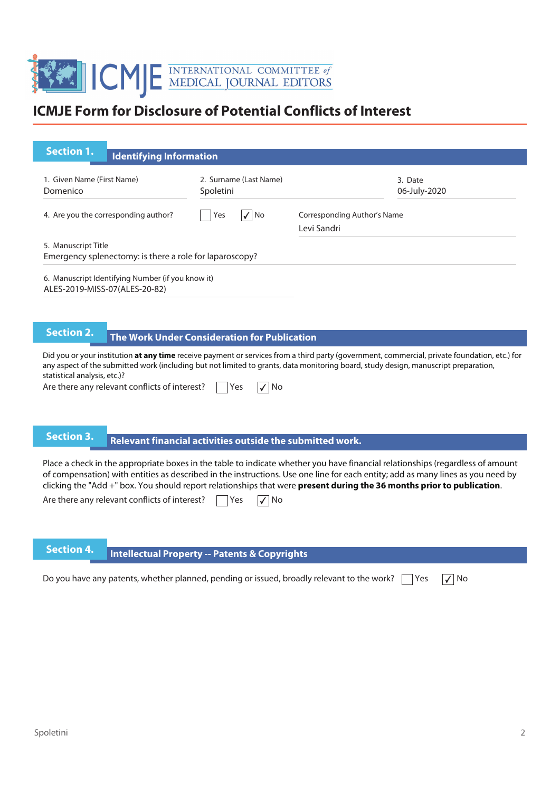

| <b>Section 1.</b><br><b>Identifying Information</b>                                                                                                                                                                                                                                                                                                                                                                                                                       |                                                          |                                            |  |  |  |
|---------------------------------------------------------------------------------------------------------------------------------------------------------------------------------------------------------------------------------------------------------------------------------------------------------------------------------------------------------------------------------------------------------------------------------------------------------------------------|----------------------------------------------------------|--------------------------------------------|--|--|--|
| 1. Given Name (First Name)<br>Domenico                                                                                                                                                                                                                                                                                                                                                                                                                                    | 2. Surname (Last Name)<br>Spoletini                      | 3. Date<br>06-July-2020                    |  |  |  |
| 4. Are you the corresponding author?                                                                                                                                                                                                                                                                                                                                                                                                                                      | $\sqrt{ N}$<br>Yes                                       | Corresponding Author's Name<br>Levi Sandri |  |  |  |
| 5. Manuscript Title<br>Emergency splenectomy: is there a role for laparoscopy?                                                                                                                                                                                                                                                                                                                                                                                            |                                                          |                                            |  |  |  |
| 6. Manuscript Identifying Number (if you know it)<br>ALES-2019-MISS-07(ALES-20-82)                                                                                                                                                                                                                                                                                                                                                                                        |                                                          |                                            |  |  |  |
|                                                                                                                                                                                                                                                                                                                                                                                                                                                                           |                                                          |                                            |  |  |  |
| <b>Section 2.</b>                                                                                                                                                                                                                                                                                                                                                                                                                                                         | The Work Under Consideration for Publication             |                                            |  |  |  |
| Did you or your institution at any time receive payment or services from a third party (government, commercial, private foundation, etc.) for<br>any aspect of the submitted work (including but not limited to grants, data monitoring board, study design, manuscript preparation,<br>statistical analysis, etc.)?<br>Are there any relevant conflicts of interest?<br>$\sqrt{N}$<br>Yes                                                                                |                                                          |                                            |  |  |  |
| <b>Section 3.</b><br>Relevant financial activities outside the submitted work.                                                                                                                                                                                                                                                                                                                                                                                            |                                                          |                                            |  |  |  |
| Place a check in the appropriate boxes in the table to indicate whether you have financial relationships (regardless of amount<br>of compensation) with entities as described in the instructions. Use one line for each entity; add as many lines as you need by<br>clicking the "Add +" box. You should report relationships that were present during the 36 months prior to publication.<br>Are there any relevant conflicts of interest?<br>No<br>Yes<br>$\checkmark$ |                                                          |                                            |  |  |  |
| <b>Section 4.</b>                                                                                                                                                                                                                                                                                                                                                                                                                                                         | <b>Intellectual Property -- Patents &amp; Copyrights</b> |                                            |  |  |  |
| Do you have any patents, whether planned, pending or issued, broadly relevant to the work?<br>No<br>Yes<br>$\checkmark$                                                                                                                                                                                                                                                                                                                                                   |                                                          |                                            |  |  |  |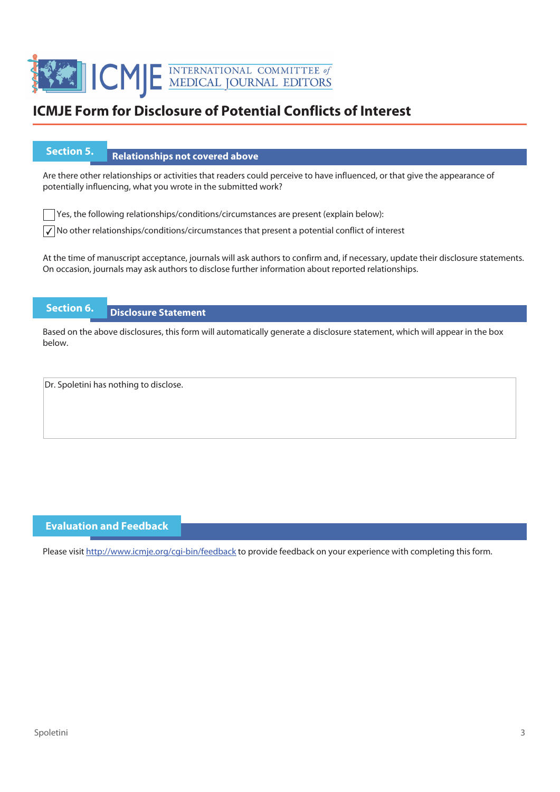

## **Section 5.** Relationships not covered above

Are there other relationships or activities that readers could perceive to have influenced, or that give the appearance of potentially influencing, what you wrote in the submitted work?

 $\Box$  Yes, the following relationships/conditions/circumstances are present (explain below):

 $\sqrt{\phantom{a}}$  No other relationships/conditions/circumstances that present a potential conflict of interest

At the time of manuscript acceptance, journals will ask authors to confirm and, if necessary, update their disclosure statements. On occasion, journals may ask authors to disclose further information about reported relationships.

### **Section 6. Disclosure Statement**

Based on the above disclosures, this form will automatically generate a disclosure statement, which will appear in the box below.

Dr. Spoletini has nothing to disclose.

### **Evaluation and Feedback**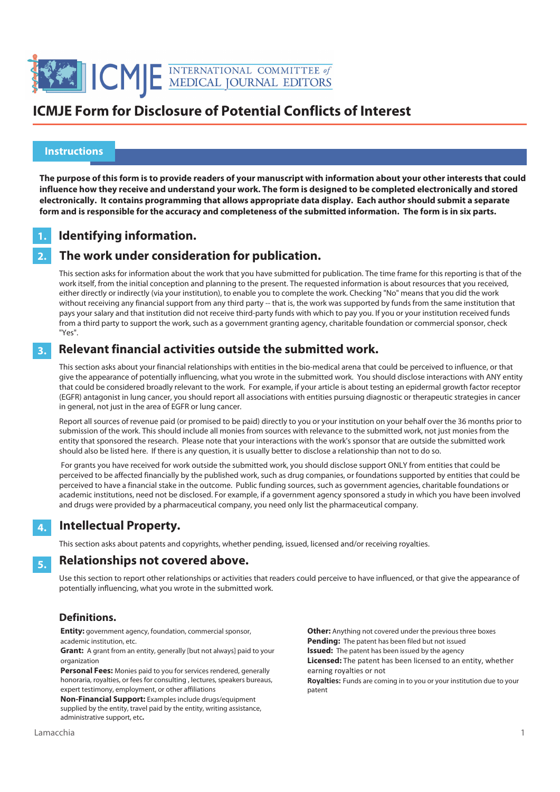

### **Instructions**

 l

> **The purpose of this form is to provide readers of your manuscript with information about your other interests that could influence how they receive and understand your work. The form is designed to be completed electronically and stored electronically. It contains programming that allows appropriate data display. Each author should submit a separate form and is responsible for the accuracy and completeness of the submitted information. The form is in six parts.**

#### **Identifying information. 1.**

#### **The work under consideration for publication. 2.**

This section asks for information about the work that you have submitted for publication. The time frame for this reporting is that of the work itself, from the initial conception and planning to the present. The requested information is about resources that you received, either directly or indirectly (via your institution), to enable you to complete the work. Checking "No" means that you did the work without receiving any financial support from any third party -- that is, the work was supported by funds from the same institution that pays your salary and that institution did not receive third-party funds with which to pay you. If you or your institution received funds from a third party to support the work, such as a government granting agency, charitable foundation or commercial sponsor, check "Yes".

#### **Relevant financial activities outside the submitted work. 3.**

This section asks about your financial relationships with entities in the bio-medical arena that could be perceived to influence, or that give the appearance of potentially influencing, what you wrote in the submitted work. You should disclose interactions with ANY entity that could be considered broadly relevant to the work. For example, if your article is about testing an epidermal growth factor receptor (EGFR) antagonist in lung cancer, you should report all associations with entities pursuing diagnostic or therapeutic strategies in cancer in general, not just in the area of EGFR or lung cancer.

Report all sources of revenue paid (or promised to be paid) directly to you or your institution on your behalf over the 36 months prior to submission of the work. This should include all monies from sources with relevance to the submitted work, not just monies from the entity that sponsored the research. Please note that your interactions with the work's sponsor that are outside the submitted work should also be listed here. If there is any question, it is usually better to disclose a relationship than not to do so.

 For grants you have received for work outside the submitted work, you should disclose support ONLY from entities that could be perceived to be affected financially by the published work, such as drug companies, or foundations supported by entities that could be perceived to have a financial stake in the outcome. Public funding sources, such as government agencies, charitable foundations or academic institutions, need not be disclosed. For example, if a government agency sponsored a study in which you have been involved and drugs were provided by a pharmaceutical company, you need only list the pharmaceutical company.

#### **Intellectual Property. 4.**

This section asks about patents and copyrights, whether pending, issued, licensed and/or receiving royalties.

#### **Relationships not covered above. 5.**

Use this section to report other relationships or activities that readers could perceive to have influenced, or that give the appearance of potentially influencing, what you wrote in the submitted work.

### **Definitions.**

**Entity:** government agency, foundation, commercial sponsor, academic institution, etc.

**Grant:** A grant from an entity, generally [but not always] paid to your organization

**Personal Fees:** Monies paid to you for services rendered, generally honoraria, royalties, or fees for consulting , lectures, speakers bureaus, expert testimony, employment, or other affiliations

**Non-Financial Support:** Examples include drugs/equipment supplied by the entity, travel paid by the entity, writing assistance, administrative support, etc**.**

**Other:** Anything not covered under the previous three boxes **Pending:** The patent has been filed but not issued **Issued:** The patent has been issued by the agency **Licensed:** The patent has been licensed to an entity, whether earning royalties or not **Royalties:** Funds are coming in to you or your institution due to your patent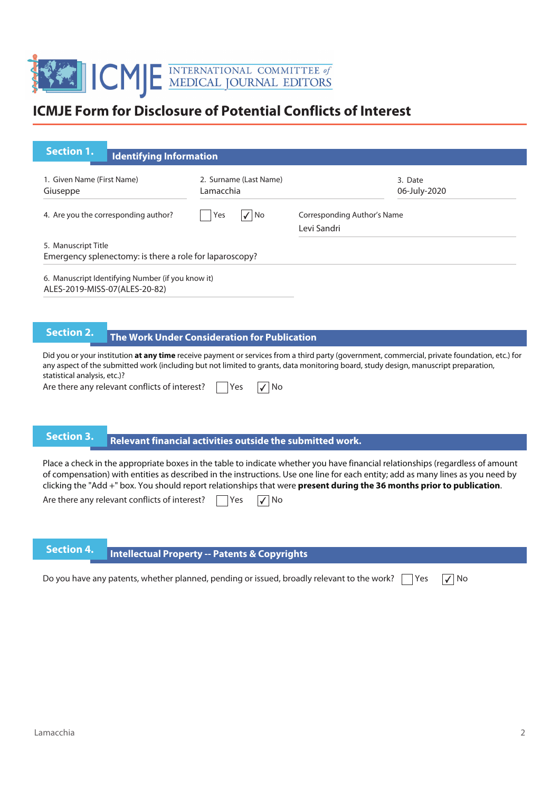

| <b>Section 1.</b>                                                                                                                                                                                                                                                                                                                                                                                                                                                         | <b>Identifying Information</b> |                                                          |                                            |  |  |
|---------------------------------------------------------------------------------------------------------------------------------------------------------------------------------------------------------------------------------------------------------------------------------------------------------------------------------------------------------------------------------------------------------------------------------------------------------------------------|--------------------------------|----------------------------------------------------------|--------------------------------------------|--|--|
| 1. Given Name (First Name)<br>Giuseppe                                                                                                                                                                                                                                                                                                                                                                                                                                    |                                | 2. Surname (Last Name)<br>Lamacchia                      | 3. Date<br>06-July-2020                    |  |  |
| 4. Are you the corresponding author?                                                                                                                                                                                                                                                                                                                                                                                                                                      |                                | $\sqrt{ N}$<br>Yes                                       | Corresponding Author's Name<br>Levi Sandri |  |  |
| 5. Manuscript Title<br>Emergency splenectomy: is there a role for laparoscopy?                                                                                                                                                                                                                                                                                                                                                                                            |                                |                                                          |                                            |  |  |
| 6. Manuscript Identifying Number (if you know it)<br>ALES-2019-MISS-07(ALES-20-82)                                                                                                                                                                                                                                                                                                                                                                                        |                                |                                                          |                                            |  |  |
|                                                                                                                                                                                                                                                                                                                                                                                                                                                                           |                                |                                                          |                                            |  |  |
| <b>Section 2.</b>                                                                                                                                                                                                                                                                                                                                                                                                                                                         |                                | <b>The Work Under Consideration for Publication</b>      |                                            |  |  |
| Did you or your institution at any time receive payment or services from a third party (government, commercial, private foundation, etc.) for<br>any aspect of the submitted work (including but not limited to grants, data monitoring board, study design, manuscript preparation,<br>statistical analysis, etc.)?<br>Are there any relevant conflicts of interest?<br>No<br><b>Yes</b>                                                                                 |                                |                                                          |                                            |  |  |
| <b>Section 3.</b><br>Relevant financial activities outside the submitted work.                                                                                                                                                                                                                                                                                                                                                                                            |                                |                                                          |                                            |  |  |
| Place a check in the appropriate boxes in the table to indicate whether you have financial relationships (regardless of amount<br>of compensation) with entities as described in the instructions. Use one line for each entity; add as many lines as you need by<br>clicking the "Add +" box. You should report relationships that were present during the 36 months prior to publication.<br>Are there any relevant conflicts of interest?<br>$\checkmark$<br>No<br>Yes |                                |                                                          |                                            |  |  |
| <b>Section 4.</b>                                                                                                                                                                                                                                                                                                                                                                                                                                                         |                                | <b>Intellectual Property -- Patents &amp; Copyrights</b> |                                            |  |  |
| Do you have any patents, whether planned, pending or issued, broadly relevant to the work?<br>$\sqrt{N}$<br>Yes                                                                                                                                                                                                                                                                                                                                                           |                                |                                                          |                                            |  |  |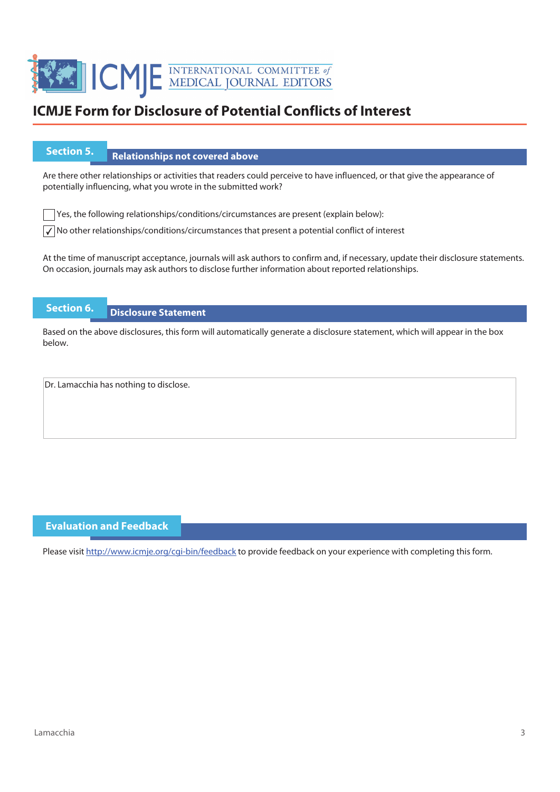

## **Section 5.** Relationships not covered above

Are there other relationships or activities that readers could perceive to have influenced, or that give the appearance of potentially influencing, what you wrote in the submitted work?

 $\Box$  Yes, the following relationships/conditions/circumstances are present (explain below):

 $\sqrt{\phantom{a}}$  No other relationships/conditions/circumstances that present a potential conflict of interest

At the time of manuscript acceptance, journals will ask authors to confirm and, if necessary, update their disclosure statements. On occasion, journals may ask authors to disclose further information about reported relationships.

### **Section 6. Disclosure Statement**

Based on the above disclosures, this form will automatically generate a disclosure statement, which will appear in the box below.

Dr. Lamacchia has nothing to disclose.

### **Evaluation and Feedback**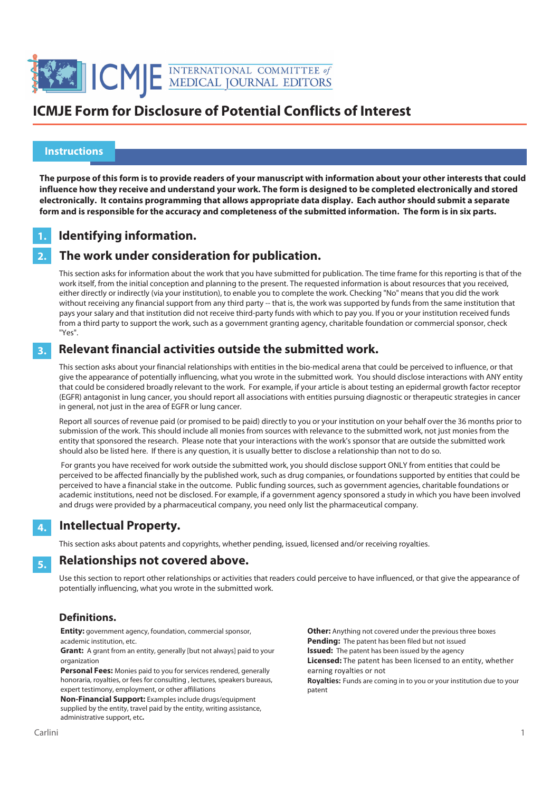

### **Instructions**

 l

> **The purpose of this form is to provide readers of your manuscript with information about your other interests that could influence how they receive and understand your work. The form is designed to be completed electronically and stored electronically. It contains programming that allows appropriate data display. Each author should submit a separate form and is responsible for the accuracy and completeness of the submitted information. The form is in six parts.**

#### **Identifying information. 1.**

#### **The work under consideration for publication. 2.**

This section asks for information about the work that you have submitted for publication. The time frame for this reporting is that of the work itself, from the initial conception and planning to the present. The requested information is about resources that you received, either directly or indirectly (via your institution), to enable you to complete the work. Checking "No" means that you did the work without receiving any financial support from any third party -- that is, the work was supported by funds from the same institution that pays your salary and that institution did not receive third-party funds with which to pay you. If you or your institution received funds from a third party to support the work, such as a government granting agency, charitable foundation or commercial sponsor, check "Yes".

#### **Relevant financial activities outside the submitted work. 3.**

This section asks about your financial relationships with entities in the bio-medical arena that could be perceived to influence, or that give the appearance of potentially influencing, what you wrote in the submitted work. You should disclose interactions with ANY entity that could be considered broadly relevant to the work. For example, if your article is about testing an epidermal growth factor receptor (EGFR) antagonist in lung cancer, you should report all associations with entities pursuing diagnostic or therapeutic strategies in cancer in general, not just in the area of EGFR or lung cancer.

Report all sources of revenue paid (or promised to be paid) directly to you or your institution on your behalf over the 36 months prior to submission of the work. This should include all monies from sources with relevance to the submitted work, not just monies from the entity that sponsored the research. Please note that your interactions with the work's sponsor that are outside the submitted work should also be listed here. If there is any question, it is usually better to disclose a relationship than not to do so.

 For grants you have received for work outside the submitted work, you should disclose support ONLY from entities that could be perceived to be affected financially by the published work, such as drug companies, or foundations supported by entities that could be perceived to have a financial stake in the outcome. Public funding sources, such as government agencies, charitable foundations or academic institutions, need not be disclosed. For example, if a government agency sponsored a study in which you have been involved and drugs were provided by a pharmaceutical company, you need only list the pharmaceutical company.

#### **Intellectual Property. 4.**

This section asks about patents and copyrights, whether pending, issued, licensed and/or receiving royalties.

#### **Relationships not covered above. 5.**

Use this section to report other relationships or activities that readers could perceive to have influenced, or that give the appearance of potentially influencing, what you wrote in the submitted work.

### **Definitions.**

**Entity:** government agency, foundation, commercial sponsor, academic institution, etc.

**Grant:** A grant from an entity, generally [but not always] paid to your organization

**Personal Fees:** Monies paid to you for services rendered, generally honoraria, royalties, or fees for consulting , lectures, speakers bureaus, expert testimony, employment, or other affiliations

**Non-Financial Support:** Examples include drugs/equipment supplied by the entity, travel paid by the entity, writing assistance, administrative support, etc**.**

**Other:** Anything not covered under the previous three boxes **Pending:** The patent has been filed but not issued **Issued:** The patent has been issued by the agency **Licensed:** The patent has been licensed to an entity, whether earning royalties or not **Royalties:** Funds are coming in to you or your institution due to your patent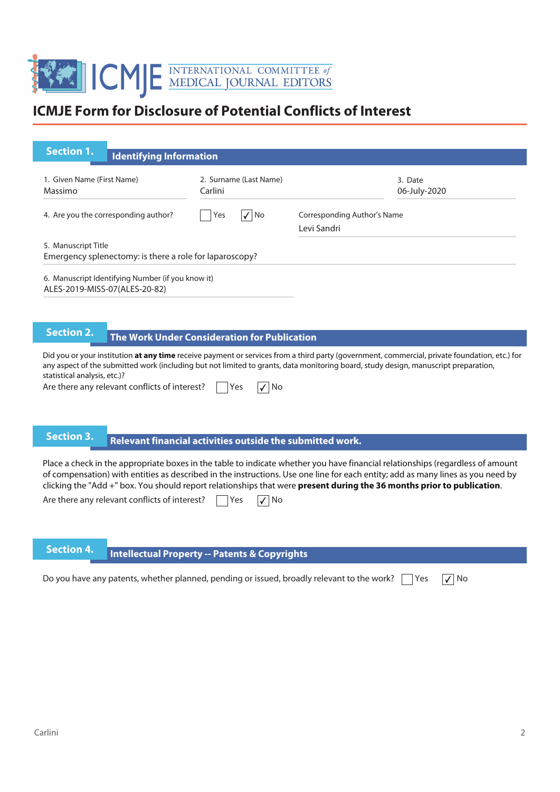

| <b>Section 1.</b>                                                                                                                                                                                                                                                                                                                                                                                                                                                         | <b>Identifying Information</b> |                                                          |                                            |  |  |  |
|---------------------------------------------------------------------------------------------------------------------------------------------------------------------------------------------------------------------------------------------------------------------------------------------------------------------------------------------------------------------------------------------------------------------------------------------------------------------------|--------------------------------|----------------------------------------------------------|--------------------------------------------|--|--|--|
| 1. Given Name (First Name)<br>Massimo                                                                                                                                                                                                                                                                                                                                                                                                                                     |                                | 2. Surname (Last Name)<br>Carlini                        | 3. Date<br>06-July-2020                    |  |  |  |
| 4. Are you the corresponding author?                                                                                                                                                                                                                                                                                                                                                                                                                                      |                                | $\sqrt{ N}$<br>Yes                                       | Corresponding Author's Name<br>Levi Sandri |  |  |  |
| 5. Manuscript Title<br>Emergency splenectomy: is there a role for laparoscopy?                                                                                                                                                                                                                                                                                                                                                                                            |                                |                                                          |                                            |  |  |  |
| 6. Manuscript Identifying Number (if you know it)<br>ALES-2019-MISS-07(ALES-20-82)                                                                                                                                                                                                                                                                                                                                                                                        |                                |                                                          |                                            |  |  |  |
|                                                                                                                                                                                                                                                                                                                                                                                                                                                                           |                                |                                                          |                                            |  |  |  |
| <b>Section 2.</b><br><b>The Work Under Consideration for Publication</b>                                                                                                                                                                                                                                                                                                                                                                                                  |                                |                                                          |                                            |  |  |  |
| Did you or your institution at any time receive payment or services from a third party (government, commercial, private foundation, etc.) for<br>any aspect of the submitted work (including but not limited to grants, data monitoring board, study design, manuscript preparation,<br>statistical analysis, etc.)?<br>Are there any relevant conflicts of interest?<br>Yes<br>No<br>$\checkmark$                                                                        |                                |                                                          |                                            |  |  |  |
| <b>Section 3.</b><br>Relevant financial activities outside the submitted work.                                                                                                                                                                                                                                                                                                                                                                                            |                                |                                                          |                                            |  |  |  |
| Place a check in the appropriate boxes in the table to indicate whether you have financial relationships (regardless of amount<br>of compensation) with entities as described in the instructions. Use one line for each entity; add as many lines as you need by<br>clicking the "Add +" box. You should report relationships that were present during the 36 months prior to publication.<br>Are there any relevant conflicts of interest?<br>No<br>Yes<br>$\checkmark$ |                                |                                                          |                                            |  |  |  |
| <b>Section 4.</b>                                                                                                                                                                                                                                                                                                                                                                                                                                                         |                                | <b>Intellectual Property -- Patents &amp; Copyrights</b> |                                            |  |  |  |
| Do you have any patents, whether planned, pending or issued, broadly relevant to the work?<br>$\sqrt{ NQ}$<br>Yes                                                                                                                                                                                                                                                                                                                                                         |                                |                                                          |                                            |  |  |  |